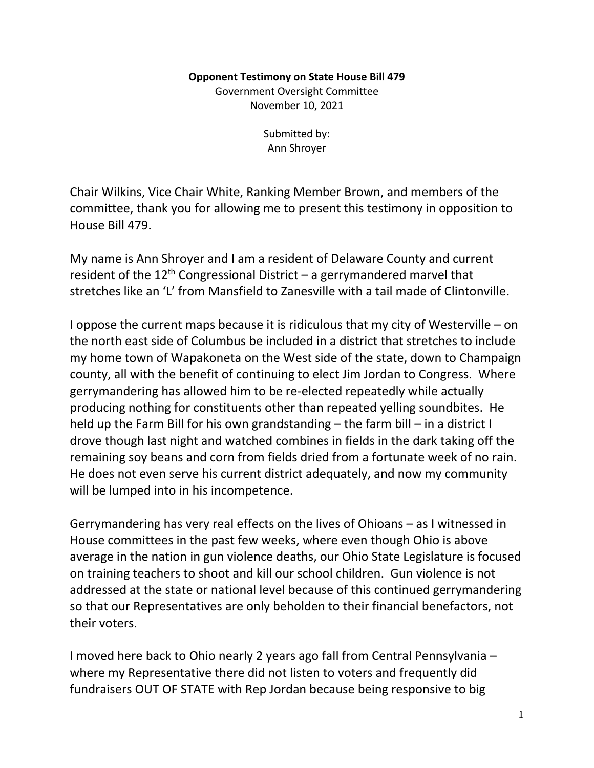## **Opponent Testimony on State House Bill 479**

Government Oversight Committee November 10, 2021

> Submitted by: Ann Shroyer

Chair Wilkins, Vice Chair White, Ranking Member Brown, and members of the committee, thank you for allowing me to present this testimony in opposition to House Bill 479.

My name is Ann Shroyer and I am a resident of Delaware County and current resident of the  $12<sup>th</sup>$  Congressional District – a gerrymandered marvel that stretches like an 'L' from Mansfield to Zanesville with a tail made of Clintonville.

I oppose the current maps because it is ridiculous that my city of Westerville – on the north east side of Columbus be included in a district that stretches to include my home town of Wapakoneta on the West side of the state, down to Champaign county, all with the benefit of continuing to elect Jim Jordan to Congress. Where gerrymandering has allowed him to be re-elected repeatedly while actually producing nothing for constituents other than repeated yelling soundbites. He held up the Farm Bill for his own grandstanding – the farm bill – in a district I drove though last night and watched combines in fields in the dark taking off the remaining soy beans and corn from fields dried from a fortunate week of no rain. He does not even serve his current district adequately, and now my community will be lumped into in his incompetence.

Gerrymandering has very real effects on the lives of Ohioans – as I witnessed in House committees in the past few weeks, where even though Ohio is above average in the nation in gun violence deaths, our Ohio State Legislature is focused on training teachers to shoot and kill our school children. Gun violence is not addressed at the state or national level because of this continued gerrymandering so that our Representatives are only beholden to their financial benefactors, not their voters.

I moved here back to Ohio nearly 2 years ago fall from Central Pennsylvania – where my Representative there did not listen to voters and frequently did fundraisers OUT OF STATE with Rep Jordan because being responsive to big